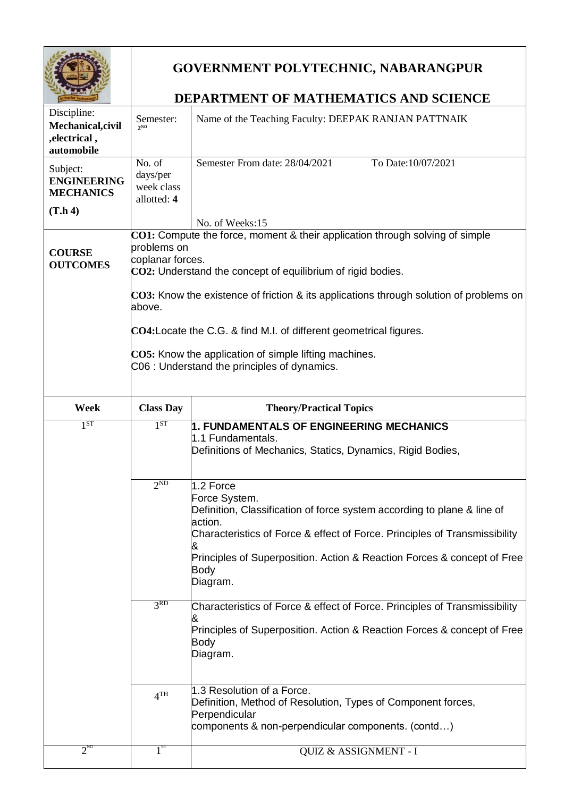|                                                               | <b>GOVERNMENT POLYTECHNIC, NABARANGPUR</b>                                                                                                                                                                                                                                     |                                                                                                                                                                                                                                                                                                           |  |
|---------------------------------------------------------------|--------------------------------------------------------------------------------------------------------------------------------------------------------------------------------------------------------------------------------------------------------------------------------|-----------------------------------------------------------------------------------------------------------------------------------------------------------------------------------------------------------------------------------------------------------------------------------------------------------|--|
|                                                               | <b>DEPARTMENT OF MATHEMATICS AND SCIENCE</b>                                                                                                                                                                                                                                   |                                                                                                                                                                                                                                                                                                           |  |
| Discipline:<br>Mechanical, civil<br>, electrical,             | Semester:<br>2ND                                                                                                                                                                                                                                                               | Name of the Teaching Faculty: DEEPAK RANJAN PATTNAIK                                                                                                                                                                                                                                                      |  |
| automobile                                                    |                                                                                                                                                                                                                                                                                |                                                                                                                                                                                                                                                                                                           |  |
| Subject:<br><b>ENGINEERING</b><br><b>MECHANICS</b><br>(T.h 4) | No. of<br>days/per<br>week class<br>allotted: 4                                                                                                                                                                                                                                | Semester From date: 28/04/2021<br>To Date:10/07/2021                                                                                                                                                                                                                                                      |  |
|                                                               |                                                                                                                                                                                                                                                                                | No. of Weeks:15                                                                                                                                                                                                                                                                                           |  |
| <b>COURSE</b><br><b>OUTCOMES</b>                              | CO1: Compute the force, moment & their application through solving of simple<br>problems on<br>coplanar forces.<br>$CO2$ : Understand the concept of equilibrium of rigid bodies.<br>$CO3$ : Know the existence of friction & its applications through solution of problems on |                                                                                                                                                                                                                                                                                                           |  |
|                                                               | above.                                                                                                                                                                                                                                                                         |                                                                                                                                                                                                                                                                                                           |  |
|                                                               | CO4: Locate the C.G. & find M.I. of different geometrical figures.<br>CO5: Know the application of simple lifting machines.<br>C06 : Understand the principles of dynamics.                                                                                                    |                                                                                                                                                                                                                                                                                                           |  |
| Week                                                          | <b>Class Day</b>                                                                                                                                                                                                                                                               | <b>Theory/Practical Topics</b>                                                                                                                                                                                                                                                                            |  |
| 1 <sup>ST</sup>                                               | 1 <sup>ST</sup>                                                                                                                                                                                                                                                                | 1. FUNDAMENTALS OF ENGINEERING MECHANICS                                                                                                                                                                                                                                                                  |  |
|                                                               |                                                                                                                                                                                                                                                                                | 1.1 Fundamentals.<br>Definitions of Mechanics, Statics, Dynamics, Rigid Bodies,                                                                                                                                                                                                                           |  |
|                                                               | 2 <sub>ND</sub>                                                                                                                                                                                                                                                                | 1.2 Force<br>Force System.<br>Definition, Classification of force system according to plane & line of<br>action.<br>Characteristics of Force & effect of Force. Principles of Transmissibility<br>&<br>Principles of Superposition. Action & Reaction Forces & concept of Free<br><b>Body</b><br>Diagram. |  |
|                                                               | 3 <sup>RD</sup>                                                                                                                                                                                                                                                                | Characteristics of Force & effect of Force. Principles of Transmissibility<br>Principles of Superposition. Action & Reaction Forces & concept of Free<br>Body<br>Diagram.                                                                                                                                 |  |
|                                                               | 4 <sup>TH</sup>                                                                                                                                                                                                                                                                | 1.3 Resolution of a Force.<br>Definition, Method of Resolution, Types of Component forces,<br>Perpendicular<br>components & non-perpendicular components. (contd)                                                                                                                                         |  |
| $2^{ND}$                                                      | $1^{\overline{\text{ST}}}$                                                                                                                                                                                                                                                     | QUIZ & ASSIGNMENT - I                                                                                                                                                                                                                                                                                     |  |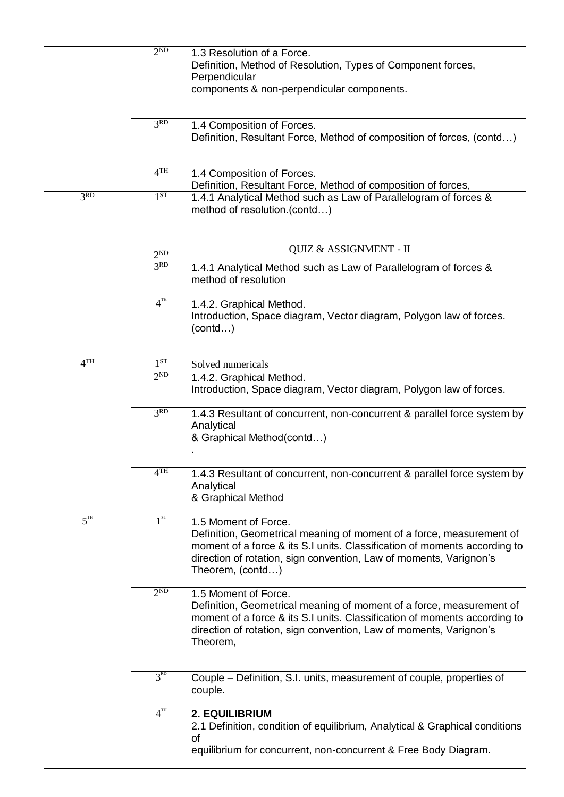|                 | 2 <sup>ND</sup> | 1.3 Resolution of a Force.<br>Definition, Method of Resolution, Types of Component forces,<br>Perpendicular                                                                                                                                                         |
|-----------------|-----------------|---------------------------------------------------------------------------------------------------------------------------------------------------------------------------------------------------------------------------------------------------------------------|
|                 |                 | components & non-perpendicular components.                                                                                                                                                                                                                          |
|                 | 3 <sup>RD</sup> | 1.4 Composition of Forces.<br>Definition, Resultant Force, Method of composition of forces, (contd)                                                                                                                                                                 |
|                 | 4 <sup>TH</sup> | 1.4 Composition of Forces.<br>Definition, Resultant Force, Method of composition of forces,                                                                                                                                                                         |
| 3 <sup>RD</sup> | 1 <sup>ST</sup> | 1.4.1 Analytical Method such as Law of Parallelogram of forces &<br>method of resolution.(contd)                                                                                                                                                                    |
|                 | $2^{ND}$        | QUIZ & ASSIGNMENT - II                                                                                                                                                                                                                                              |
|                 | 3 <sup>RD</sup> | 1.4.1 Analytical Method such as Law of Parallelogram of forces &<br>method of resolution                                                                                                                                                                            |
|                 | $4^{TH}$        | 1.4.2. Graphical Method.<br>Introduction, Space diagram, Vector diagram, Polygon law of forces.<br>(contd…)                                                                                                                                                         |
| 4 <sup>TH</sup> | 1 <sup>ST</sup> | Solved numericals                                                                                                                                                                                                                                                   |
|                 | 2 <sub>ND</sub> | 1.4.2. Graphical Method.<br>Introduction, Space diagram, Vector diagram, Polygon law of forces.                                                                                                                                                                     |
|                 | 3 <sup>RD</sup> | 1.4.3 Resultant of concurrent, non-concurrent & parallel force system by<br>Analytical<br>& Graphical Method(contd)                                                                                                                                                 |
|                 | 4 <sup>TH</sup> | 1.4.3 Resultant of concurrent, non-concurrent & parallel force system by<br>Analytical<br>& Graphical Method                                                                                                                                                        |
| $5^{\text{th}}$ | $1^{st}$        | 1.5 Moment of Force.<br>Definition, Geometrical meaning of moment of a force, measurement of<br>moment of a force & its S.I units. Classification of moments according to<br>direction of rotation, sign convention, Law of moments, Varignon's<br>Theorem, (contd) |
|                 | 2 <sub>ND</sub> | 1.5 Moment of Force.<br>Definition, Geometrical meaning of moment of a force, measurement of<br>moment of a force & its S.I units. Classification of moments according to<br>direction of rotation, sign convention, Law of moments, Varignon's<br>Theorem,         |
|                 | $3^{RD}$        | Couple – Definition, S.I. units, measurement of couple, properties of<br>couple.                                                                                                                                                                                    |
|                 | $4^{TH}$        | 2. EQUILIBRIUM<br>2.1 Definition, condition of equilibrium, Analytical & Graphical conditions<br>of                                                                                                                                                                 |
|                 |                 | equilibrium for concurrent, non-concurrent & Free Body Diagram.                                                                                                                                                                                                     |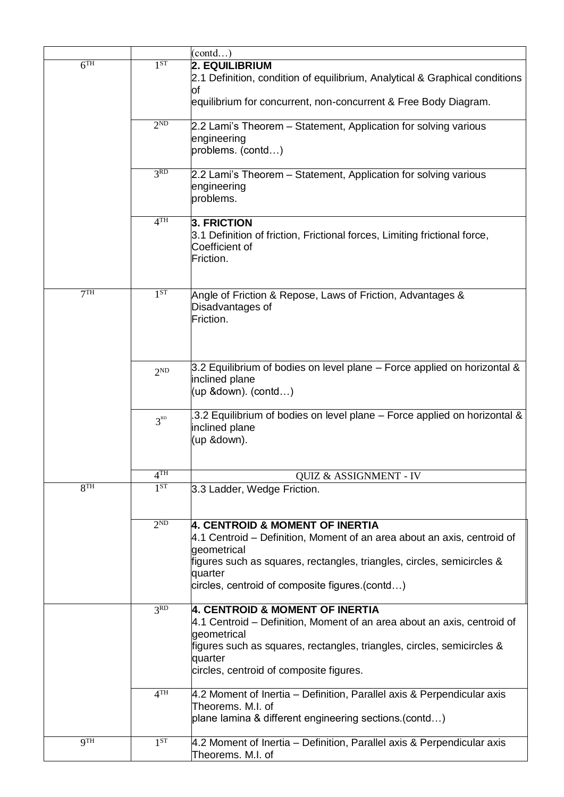|                 |                 | (contd)                                                                                                                                                                                                                                                          |
|-----------------|-----------------|------------------------------------------------------------------------------------------------------------------------------------------------------------------------------------------------------------------------------------------------------------------|
| 6 <sup>TH</sup> | 1 <sup>ST</sup> | 2. EQUILIBRIUM<br>2.1 Definition, condition of equilibrium, Analytical & Graphical conditions<br><b>of</b>                                                                                                                                                       |
|                 |                 | equilibrium for concurrent, non-concurrent & Free Body Diagram.                                                                                                                                                                                                  |
|                 | 2 <sup>ND</sup> | 2.2 Lami's Theorem – Statement, Application for solving various<br>engineering<br>problems. (contd)                                                                                                                                                              |
|                 | 3 <sub>RD</sub> | 2.2 Lami's Theorem – Statement, Application for solving various<br>engineering<br>problems.                                                                                                                                                                      |
|                 | 4 <sup>TH</sup> | 3. FRICTION<br>3.1 Definition of friction, Frictional forces, Limiting frictional force,<br>Coefficient of<br>Friction.                                                                                                                                          |
| 7 <sup>TH</sup> | 1 <sup>ST</sup> | Angle of Friction & Repose, Laws of Friction, Advantages &<br>Disadvantages of<br>Friction.                                                                                                                                                                      |
|                 | $2^{ND}$        | 3.2 Equilibrium of bodies on level plane - Force applied on horizontal &<br>inclined plane<br>$(up 8down)$ . $(contd)$                                                                                                                                           |
|                 | 3 <sup>RD</sup> | 3.2 Equilibrium of bodies on level plane - Force applied on horizontal &<br>inclined plane<br>(up &down).                                                                                                                                                        |
|                 | 4 <sup>TH</sup> | <b>QUIZ &amp; ASSIGNMENT - IV</b>                                                                                                                                                                                                                                |
| 8 <sup>TH</sup> | 1 <sup>ST</sup> | 3.3 Ladder, Wedge Friction.                                                                                                                                                                                                                                      |
|                 | $2^{ND}$        | 4. CENTROID & MOMENT OF INERTIA<br>4.1 Centroid – Definition, Moment of an area about an axis, centroid of<br>geometrical<br>figures such as squares, rectangles, triangles, circles, semicircles &<br>quarter<br>circles, centroid of composite figures.(contd) |
|                 | 3 <sup>RD</sup> | 4. CENTROID & MOMENT OF INERTIA<br>4.1 Centroid – Definition, Moment of an area about an axis, centroid of<br>geometrical<br>figures such as squares, rectangles, triangles, circles, semicircles &<br>quarter<br>circles, centroid of composite figures.        |
|                 | 4 <sup>TH</sup> | 4.2 Moment of Inertia – Definition, Parallel axis & Perpendicular axis<br>Theorems. M.I. of<br>plane lamina & different engineering sections.(contd)                                                                                                             |
| QTH             | 1 <sup>ST</sup> | 4.2 Moment of Inertia - Definition, Parallel axis & Perpendicular axis<br>Theorems. M.I. of                                                                                                                                                                      |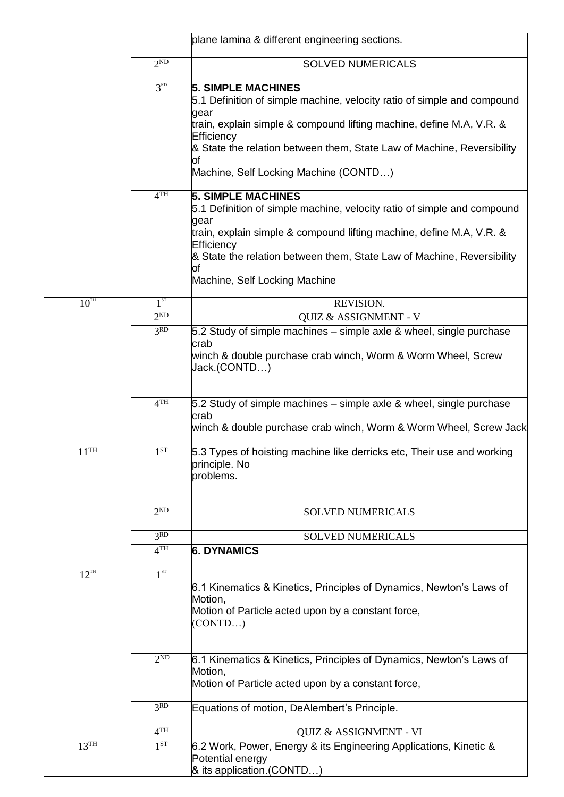|                    |                 | plane lamina & different engineering sections.                                                                                                   |
|--------------------|-----------------|--------------------------------------------------------------------------------------------------------------------------------------------------|
|                    | 2 <sub>ND</sub> | <b>SOLVED NUMERICALS</b>                                                                                                                         |
|                    | 3 <sup>RD</sup> | <b>5. SIMPLE MACHINES</b><br>5.1 Definition of simple machine, velocity ratio of simple and compound                                             |
|                    |                 | gear<br>train, explain simple & compound lifting machine, define M.A, V.R. &<br>Efficiency                                                       |
|                    |                 | & State the relation between them, State Law of Machine, Reversibility<br>of                                                                     |
|                    |                 | Machine, Self Locking Machine (CONTD)                                                                                                            |
|                    | 4 <sup>TH</sup> | <b>5. SIMPLE MACHINES</b><br>5.1 Definition of simple machine, velocity ratio of simple and compound<br>gear                                     |
|                    |                 | train, explain simple & compound lifting machine, define M.A, V.R. &<br>Efficiency                                                               |
|                    |                 | & State the relation between them, State Law of Machine, Reversibility<br>of                                                                     |
|                    |                 | Machine, Self Locking Machine                                                                                                                    |
| $10^{TH}$          | $1^{ST}$        | REVISION.                                                                                                                                        |
|                    | 2 <sup>ND</sup> | QUIZ & ASSIGNMENT - V                                                                                                                            |
|                    | 3 <sup>RD</sup> | 5.2 Study of simple machines – simple axle & wheel, single purchase                                                                              |
|                    |                 | crab<br>winch & double purchase crab winch, Worm & Worm Wheel, Screw<br>Jack.(CONTD)                                                             |
|                    | 4 <sup>TH</sup> | 5.2 Study of simple machines – simple axle & wheel, single purchase<br>crab<br>winch & double purchase crab winch, Worm & Worm Wheel, Screw Jack |
| $11$ <sup>TH</sup> | 1 <sup>ST</sup> | 5.3 Types of hoisting machine like derricks etc, Their use and working<br>principle. No<br>problems.                                             |
|                    | $2^{ND}$        | <b>SOLVED NUMERICALS</b>                                                                                                                         |
|                    | 3 <sub>RD</sub> | <b>SOLVED NUMERICALS</b>                                                                                                                         |
|                    | 4 <sup>TH</sup> | <b>6. DYNAMICS</b>                                                                                                                               |
| $12^{TH}$          | 1 <sup>ST</sup> | 6.1 Kinematics & Kinetics, Principles of Dynamics, Newton's Laws of<br>Motion,<br>Motion of Particle acted upon by a constant force,<br>(CONTD)  |
|                    | 2 <sub>ND</sub> | 6.1 Kinematics & Kinetics, Principles of Dynamics, Newton's Laws of<br>Motion,<br>Motion of Particle acted upon by a constant force,             |
|                    | 3 <sup>RD</sup> | Equations of motion, DeAlembert's Principle.                                                                                                     |
|                    | 4 <sup>TH</sup> | QUIZ & ASSIGNMENT - VI                                                                                                                           |
| 13 <sup>TH</sup>   | 1 <sup>ST</sup> | 6.2 Work, Power, Energy & its Engineering Applications, Kinetic &<br>Potential energy<br>& its application.(CONTD)                               |